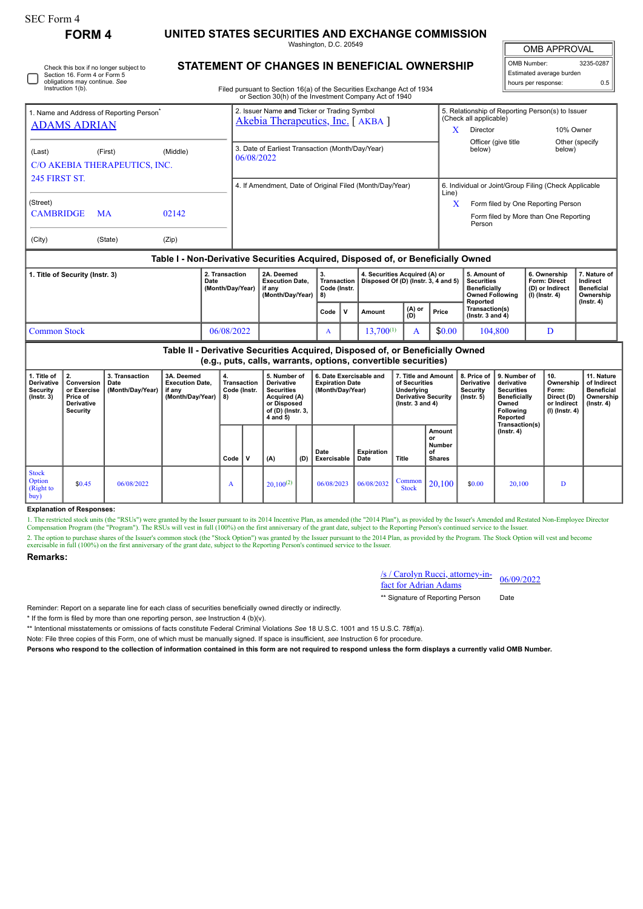П

Check this box if no longer subject to Section 16. Form 4 or Form 5 obligations may continue. *See* Instruction 1(b).

## **FORM 4 UNITED STATES SECURITIES AND EXCHANGE COMMISSION**

Washington, D.C. 20549 **STATEMENT OF CHANGES IN BENEFICIAL OWNERSHIP**

OMB APPROVAL

| OMB Number:<br>3235-0287 |     |  |  |  |  |  |  |  |  |
|--------------------------|-----|--|--|--|--|--|--|--|--|
| Estimated average burden |     |  |  |  |  |  |  |  |  |
| hours per response:      | 0.5 |  |  |  |  |  |  |  |  |

Filed pursuant to Section 16(a) of the Securities Exchange Act of 1934

|                                                                                  |         |            |                                                                                 |                                                                | or Section 30(h) of the Investment Company Act of 1940             |                                         |                |                                                                      |        |                                                                                                          |                                                                                    |                                                                     |                                                            |  |  |
|----------------------------------------------------------------------------------|---------|------------|---------------------------------------------------------------------------------|----------------------------------------------------------------|--------------------------------------------------------------------|-----------------------------------------|----------------|----------------------------------------------------------------------|--------|----------------------------------------------------------------------------------------------------------|------------------------------------------------------------------------------------|---------------------------------------------------------------------|------------------------------------------------------------|--|--|
| 1. Name and Address of Reporting Person <sup>®</sup><br><b>ADAMS ADRIAN</b>      |         |            | 2. Issuer Name and Ticker or Trading Symbol<br>Akebia Therapeutics, Inc. [AKBA] |                                                                |                                                                    |                                         |                |                                                                      |        | 5. Relationship of Reporting Person(s) to Issuer<br>(Check all applicable)<br>Director<br>10% Owner<br>X |                                                                                    |                                                                     |                                                            |  |  |
| (Last)<br>C/O AKEBIA THERAPEUTICS, INC.<br><b>245 FIRST ST.</b>                  | (First) | (Middle)   |                                                                                 | 3. Date of Earliest Transaction (Month/Day/Year)<br>06/08/2022 |                                                                    |                                         |                |                                                                      |        |                                                                                                          | Officer (give title<br>below)                                                      | below)                                                              | Other (specify                                             |  |  |
|                                                                                  |         |            |                                                                                 | 4. If Amendment, Date of Original Filed (Month/Day/Year)       |                                                                    |                                         |                |                                                                      |        |                                                                                                          | 6. Individual or Joint/Group Filing (Check Applicable<br>Line)                     |                                                                     |                                                            |  |  |
| (Street)<br><b>CAMBRIDGE</b>                                                     | MA      |            |                                                                                 |                                                                |                                                                    |                                         |                |                                                                      |        | X<br>Form filed by One Reporting Person<br>Form filed by More than One Reporting<br>Person               |                                                                                    |                                                                     |                                                            |  |  |
| (City)                                                                           | (State) | (Zip)      |                                                                                 |                                                                |                                                                    |                                         |                |                                                                      |        |                                                                                                          |                                                                                    |                                                                     |                                                            |  |  |
| Table I - Non-Derivative Securities Acquired, Disposed of, or Beneficially Owned |         |            |                                                                                 |                                                                |                                                                    |                                         |                |                                                                      |        |                                                                                                          |                                                                                    |                                                                     |                                                            |  |  |
| 1. Title of Security (Instr. 3)<br>2. Transaction<br>Date<br>(Month/Day/Year)    |         |            |                                                                                 |                                                                | 2A. Deemed<br><b>Execution Date.</b><br>if any<br>(Month/Day/Year) | 3.<br>Transaction<br>Code (Instr.<br>8) |                | 4. Securities Acquired (A) or<br>Disposed Of (D) (Instr. 3, 4 and 5) |        |                                                                                                          | 5. Amount of<br><b>Securities</b><br><b>Beneficially</b><br><b>Owned Following</b> | 6. Ownership<br>Form: Direct<br>(D) or Indirect<br>$(I)$ (Instr. 4) | 7. Nature of<br>Indirect<br><b>Beneficial</b><br>Ownership |  |  |
|                                                                                  |         |            |                                                                                 |                                                                |                                                                    | Code<br>v                               |                | $(A)$ or<br>Amount<br>(D)                                            |        | Price                                                                                                    | Reported<br>Transaction(s)<br>$($ Instr. 3 and 4 $)$                               |                                                                     | $($ lnstr. 4 $)$                                           |  |  |
| <b>Common Stock</b>                                                              |         | 06/08/2022 |                                                                                 |                                                                | A                                                                  |                                         | $13,700^{(1)}$ | A                                                                    | \$0.00 | 104,800                                                                                                  | D                                                                                  |                                                                     |                                                            |  |  |

**Table II - Derivative Securities Acquired, Disposed of, or Beneficially Owned (e.g., puts, calls, warrants, options, convertible securities)**

| 1. Title of<br><b>Derivative</b><br>Security<br>$($ Instr. 3 $)$ | Conversion<br>or Exercise<br>Price of<br><b>Derivative</b><br>Security | 3. Transaction<br>Date<br>(Month/Day/Year) | 3A. Deemed<br><b>Execution Date,</b><br>if any<br>(Month/Day/Year) | Transaction<br>Code (Instr.<br>8) | 5. Number of<br>Derivative<br><b>Securities</b><br>Acquired (A)<br>or Disposed<br>of (D) (Instr. 3,<br>4 and 5) |     | 6. Date Exercisable and<br><b>Expiration Date</b><br>(Month/Day/Year) |                    | 7. Title and Amount  <br>of Securities<br>Underlying<br><b>Derivative Security</b><br>$($ lnstr. 3 and 4 $)$ |                                               | 8. Price of<br><b>Derivative</b><br>Security<br>$($ Instr. 5 $)$ | 9. Number of<br>derivative<br><b>Securities</b><br><b>Beneficially</b><br>Owned<br>Following<br>Reported | 10.<br>Ownership<br>Form:<br>Direct (D)<br>or Indirect<br>$(I)$ (Instr. 4) | 11. Nature<br>of Indirect<br><b>Beneficial</b><br>Ownership<br>$($ lnstr. 4 $)$ |
|------------------------------------------------------------------|------------------------------------------------------------------------|--------------------------------------------|--------------------------------------------------------------------|-----------------------------------|-----------------------------------------------------------------------------------------------------------------|-----|-----------------------------------------------------------------------|--------------------|--------------------------------------------------------------------------------------------------------------|-----------------------------------------------|------------------------------------------------------------------|----------------------------------------------------------------------------------------------------------|----------------------------------------------------------------------------|---------------------------------------------------------------------------------|
|                                                                  |                                                                        |                                            |                                                                    | Code                              | (A)                                                                                                             | (D) | Date<br>Exercisable                                                   | Expiration<br>Date | Title                                                                                                        | Amount<br>or<br>Number<br>оf<br><b>Shares</b> |                                                                  | Transaction(s)<br>(Instr. 4)                                                                             |                                                                            |                                                                                 |
| <b>Stock</b><br><b>Option</b><br>(Right to<br> buy)              | \$0.45                                                                 | 06/08/2022                                 |                                                                    | A                                 | $20.100^{(2)}$                                                                                                  |     | 06/08/2023                                                            | 06/08/2032         | Common<br><b>Stock</b>                                                                                       | 20,100                                        | \$0.00                                                           | 20.100                                                                                                   | D                                                                          |                                                                                 |

## **Explanation of Responses:**

1. The restricted stock units (the "RSUs") were granted by the Issuer pursuant to its 2014 Incentive Plan, as amended (the "2014 Plan"), as provided by the Issuer's Amended and Restated Non-Employee Director Compensation Program (the "Program"). The RSUs will vest in full (100%) on the first anniversary of the grant date, subject to the Reporting Person's continued service to the Issuer. 2. The option to purchase shares of the Issuer's common stock (the "Stock Option") was granted by the Issuer pursuant to the 2014 Plan, as provided by the Program. The Stock Option will vest and become exercisable in full (100%) on the first anniversary of the grant date, subject to the Reporting Person's continued service to the Issuer.

## **Remarks:**

/s / Carolyn Rucci, attorney-in-

\*\* Signature of Reporting Person Date

Reminder: Report on a separate line for each class of securities beneficially owned directly or indirectly.

\* If the form is filed by more than one reporting person, *see* Instruction 4 (b)(v).

\*\* Intentional misstatements or omissions of facts constitute Federal Criminal Violations *See* 18 U.S.C. 1001 and 15 U.S.C. 78ff(a).

Note: File three copies of this Form, one of which must be manually signed. If space is insufficient, *see* Instruction 6 for procedure.

**Persons who respond to the collection of information contained in this form are not required to respond unless the form displays a currently valid OMB Number.**

 $\frac{f(S)}{S}$  Carolyn Kuccl, altorney-in-<br>fact for Adrian Adams